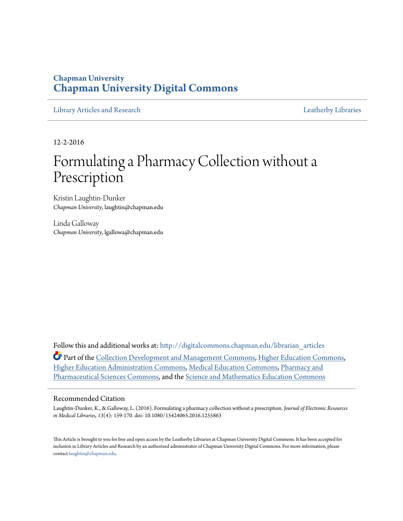### **Chapman University [Chapman University Digital Commons](http://digitalcommons.chapman.edu?utm_source=digitalcommons.chapman.edu%2Flibrarian_articles%2F23&utm_medium=PDF&utm_campaign=PDFCoverPages)**

[Library Articles and Research](http://digitalcommons.chapman.edu/librarian_articles?utm_source=digitalcommons.chapman.edu%2Flibrarian_articles%2F23&utm_medium=PDF&utm_campaign=PDFCoverPages) [Leatherby Libraries](http://digitalcommons.chapman.edu/leatherbylibraries?utm_source=digitalcommons.chapman.edu%2Flibrarian_articles%2F23&utm_medium=PDF&utm_campaign=PDFCoverPages)

12-2-2016

# Formulating a Pharmacy Collection without a Prescription

Kristin Laughtin-Dunker *Chapman University*, laughtin@chapman.edu

Linda Galloway *Chapman University*, lgallowa@chapman.edu

Follow this and additional works at: [http://digitalcommons.chapman.edu/librarian\\_articles](http://digitalcommons.chapman.edu/librarian_articles?utm_source=digitalcommons.chapman.edu%2Flibrarian_articles%2F23&utm_medium=PDF&utm_campaign=PDFCoverPages) Part of the [Collection Development and Management Commons,](http://network.bepress.com/hgg/discipline/1271?utm_source=digitalcommons.chapman.edu%2Flibrarian_articles%2F23&utm_medium=PDF&utm_campaign=PDFCoverPages) [Higher Education Commons,](http://network.bepress.com/hgg/discipline/1245?utm_source=digitalcommons.chapman.edu%2Flibrarian_articles%2F23&utm_medium=PDF&utm_campaign=PDFCoverPages) [Higher Education Administration Commons](http://network.bepress.com/hgg/discipline/791?utm_source=digitalcommons.chapman.edu%2Flibrarian_articles%2F23&utm_medium=PDF&utm_campaign=PDFCoverPages), [Medical Education Commons](http://network.bepress.com/hgg/discipline/1125?utm_source=digitalcommons.chapman.edu%2Flibrarian_articles%2F23&utm_medium=PDF&utm_campaign=PDFCoverPages), [Pharmacy and](http://network.bepress.com/hgg/discipline/731?utm_source=digitalcommons.chapman.edu%2Flibrarian_articles%2F23&utm_medium=PDF&utm_campaign=PDFCoverPages) [Pharmaceutical Sciences Commons](http://network.bepress.com/hgg/discipline/731?utm_source=digitalcommons.chapman.edu%2Flibrarian_articles%2F23&utm_medium=PDF&utm_campaign=PDFCoverPages), and the [Science and Mathematics Education Commons](http://network.bepress.com/hgg/discipline/800?utm_source=digitalcommons.chapman.edu%2Flibrarian_articles%2F23&utm_medium=PDF&utm_campaign=PDFCoverPages)

#### Recommended Citation

Laughtin-Dunker, K., & Galloway, L. (2016). Formulating a pharmacy collection without a prescription. *Journal of Electronic Resources in Medical Libraries, 13*(4): 159-170. doi: 10.1080/15424065.2016.1255863

This Article is brought to you for free and open access by the Leatherby Libraries at Chapman University Digital Commons. It has been accepted for inclusion in Library Articles and Research by an authorized administrator of Chapman University Digital Commons. For more information, please contact [laughtin@chapman.edu](mailto:laughtin@chapman.edu).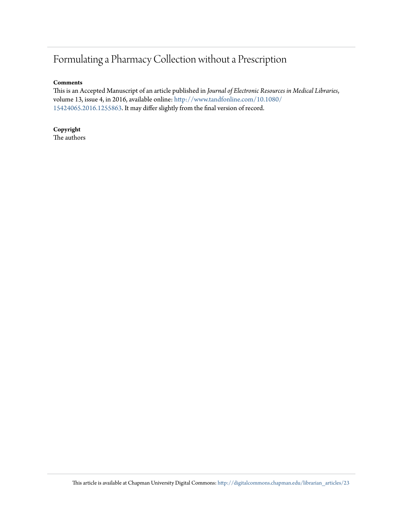## Formulating a Pharmacy Collection without a Prescription

#### **Comments**

This is an Accepted Manuscript of an article published in *Journal of Electronic Resources in Medical Libraries*, volume 13, issue 4, in 2016, available online: [http://www.tandfonline.com/10.1080/](http://www.tandfonline.com/10.1080/15424065.2016.1255863) [15424065.2016.1255863.](http://www.tandfonline.com/10.1080/15424065.2016.1255863) It may differ slightly from the final version of record.

#### **Copyright** The authors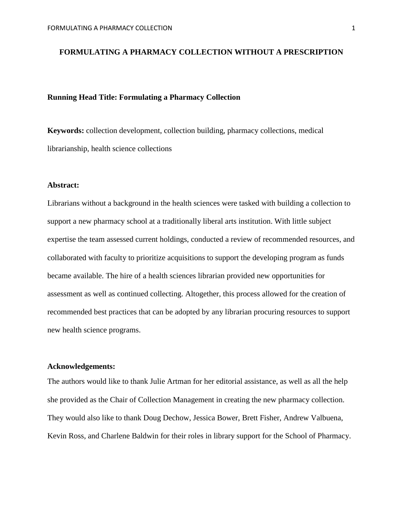#### **FORMULATING A PHARMACY COLLECTION WITHOUT A PRESCRIPTION**

#### **Running Head Title: Formulating a Pharmacy Collection**

**Keywords:** collection development, collection building, pharmacy collections, medical librarianship, health science collections

#### **Abstract:**

Librarians without a background in the health sciences were tasked with building a collection to support a new pharmacy school at a traditionally liberal arts institution. With little subject expertise the team assessed current holdings, conducted a review of recommended resources, and collaborated with faculty to prioritize acquisitions to support the developing program as funds became available. The hire of a health sciences librarian provided new opportunities for assessment as well as continued collecting. Altogether, this process allowed for the creation of recommended best practices that can be adopted by any librarian procuring resources to support new health science programs.

#### **Acknowledgements:**

The authors would like to thank Julie Artman for her editorial assistance, as well as all the help she provided as the Chair of Collection Management in creating the new pharmacy collection. They would also like to thank Doug Dechow, Jessica Bower, Brett Fisher, Andrew Valbuena, Kevin Ross, and Charlene Baldwin for their roles in library support for the School of Pharmacy.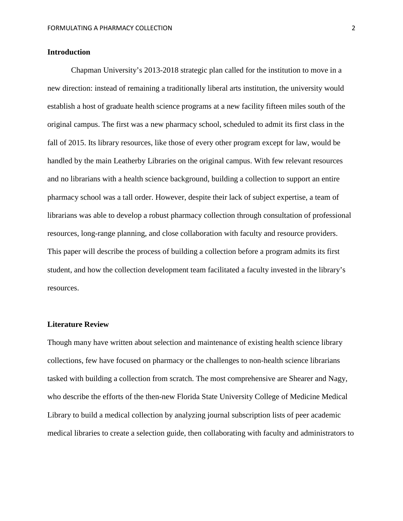#### **Introduction**

Chapman University's 2013-2018 strategic plan called for the institution to move in a new direction: instead of remaining a traditionally liberal arts institution, the university would establish a host of graduate health science programs at a new facility fifteen miles south of the original campus. The first was a new pharmacy school, scheduled to admit its first class in the fall of 2015. Its library resources, like those of every other program except for law, would be handled by the main Leatherby Libraries on the original campus. With few relevant resources and no librarians with a health science background, building a collection to support an entire pharmacy school was a tall order. However, despite their lack of subject expertise, a team of librarians was able to develop a robust pharmacy collection through consultation of professional resources, long-range planning, and close collaboration with faculty and resource providers. This paper will describe the process of building a collection before a program admits its first student, and how the collection development team facilitated a faculty invested in the library's resources.

#### **Literature Review**

Though many have written about selection and maintenance of existing health science library collections, few have focused on pharmacy or the challenges to non-health science librarians tasked with building a collection from scratch. The most comprehensive are Shearer and Nagy, who describe the efforts of the then-new Florida State University College of Medicine Medical Library to build a medical collection by analyzing journal subscription lists of peer academic medical libraries to create a selection guide, then collaborating with faculty and administrators to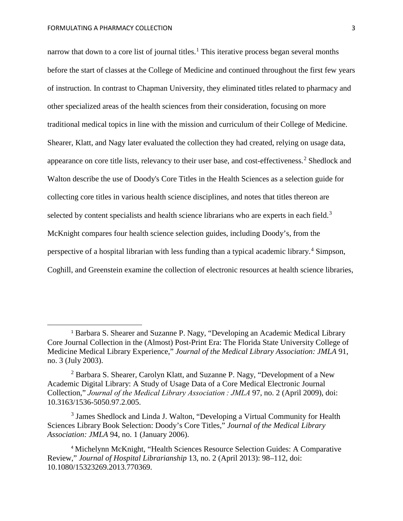narrow that down to a core list of journal titles.<sup>[1](#page-4-0)</sup> This iterative process began several months before the start of classes at the College of Medicine and continued throughout the first few years of instruction. In contrast to Chapman University, they eliminated titles related to pharmacy and other specialized areas of the health sciences from their consideration, focusing on more traditional medical topics in line with the mission and curriculum of their College of Medicine. Shearer, Klatt, and Nagy later evaluated the collection they had created, relying on usage data, appearance on core title lists, relevancy to their user base, and cost-effectiveness. [2](#page-4-1) Shedlock and Walton describe the use of Doody's Core Titles in the Health Sciences as a selection guide for collecting core titles in various health science disciplines, and notes that titles thereon are selected by content specialists and health science librarians who are experts in each field.<sup>[3](#page-4-2)</sup> McKnight compares four health science selection guides, including Doody's, from the perspective of a hospital librarian with less funding than a typical academic library. [4](#page-4-3) Simpson, Coghill, and Greenstein examine the collection of electronic resources at health science libraries,

<span id="page-4-0"></span> <sup>1</sup> Barbara S. Shearer and Suzanne P. Nagy, "Developing an Academic Medical Library Core Journal Collection in the (Almost) Post-Print Era: The Florida State University College of Medicine Medical Library Experience," *Journal of the Medical Library Association: JMLA* 91, no. 3 (July 2003).

<span id="page-4-1"></span><sup>2</sup> Barbara S. Shearer, Carolyn Klatt, and Suzanne P. Nagy, "Development of a New Academic Digital Library: A Study of Usage Data of a Core Medical Electronic Journal Collection," *Journal of the Medical Library Association : JMLA* 97, no. 2 (April 2009), doi: 10.3163/1536-5050.97.2.005.

<span id="page-4-2"></span><sup>&</sup>lt;sup>3</sup> James Shedlock and Linda J. Walton, "Developing a Virtual Community for Health Sciences Library Book Selection: Doody's Core Titles," *Journal of the Medical Library Association: JMLA* 94, no. 1 (January 2006).

<span id="page-4-3"></span><sup>4</sup> Michelynn McKnight, "Health Sciences Resource Selection Guides: A Comparative Review," *Journal of Hospital Librarianship* 13, no. 2 (April 2013): 98–112, doi: 10.1080/15323269.2013.770369.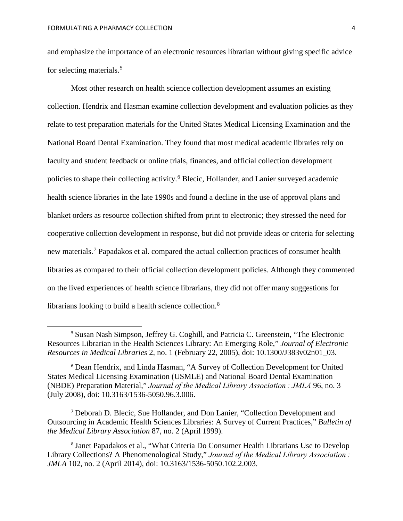and emphasize the importance of an electronic resources librarian without giving specific advice for selecting materials. [5](#page-5-0)

Most other research on health science collection development assumes an existing collection. Hendrix and Hasman examine collection development and evaluation policies as they relate to test preparation materials for the United States Medical Licensing Examination and the National Board Dental Examination. They found that most medical academic libraries rely on faculty and student feedback or online trials, finances, and official collection development policies to shape their collecting activity. [6](#page-5-1) Blecic, Hollander, and Lanier surveyed academic health science libraries in the late 1990s and found a decline in the use of approval plans and blanket orders as resource collection shifted from print to electronic; they stressed the need for cooperative collection development in response, but did not provide ideas or criteria for selecting new materials.<sup>[7](#page-5-2)</sup> Papadakos et al. compared the actual collection practices of consumer health libraries as compared to their official collection development policies. Although they commented on the lived experiences of health science librarians, they did not offer many suggestions for librarians looking to build a health science collection.<sup>[8](#page-5-3)</sup>

<span id="page-5-0"></span> <sup>5</sup> Susan Nash Simpson, Jeffrey G. Coghill, and Patricia C. Greenstein, "The Electronic Resources Librarian in the Health Sciences Library: An Emerging Role," *Journal of Electronic Resources in Medical Libraries* 2, no. 1 (February 22, 2005), doi: 10.1300/J383v02n01\_03.

<span id="page-5-1"></span><sup>6</sup> Dean Hendrix, and Linda Hasman, "A Survey of Collection Development for United States Medical Licensing Examination (USMLE) and National Board Dental Examination (NBDE) Preparation Material," *Journal of the Medical Library Association : JMLA* 96, no. 3 (July 2008), doi: 10.3163/1536-5050.96.3.006.

<span id="page-5-2"></span><sup>7</sup> Deborah D. Blecic, Sue Hollander, and Don Lanier, "Collection Development and Outsourcing in Academic Health Sciences Libraries: A Survey of Current Practices," *Bulletin of the Medical Library Association* 87, no. 2 (April 1999).

<span id="page-5-3"></span><sup>8</sup> Janet Papadakos et al., "What Criteria Do Consumer Health Librarians Use to Develop Library Collections? A Phenomenological Study," *Journal of the Medical Library Association : JMLA* 102, no. 2 (April 2014), doi: 10.3163/1536-5050.102.2.003.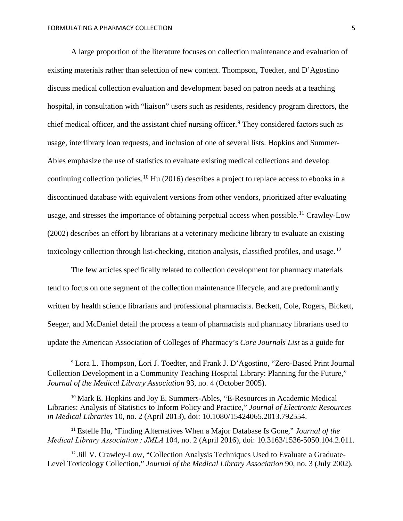A large proportion of the literature focuses on collection maintenance and evaluation of existing materials rather than selection of new content. Thompson, Toedter, and D'Agostino discuss medical collection evaluation and development based on patron needs at a teaching hospital, in consultation with "liaison" users such as residents, residency program directors, the chief medical officer, and the assistant chief nursing officer. [9](#page-6-0) They considered factors such as usage, interlibrary loan requests, and inclusion of one of several lists. Hopkins and Summer-Ables emphasize the use of statistics to evaluate existing medical collections and develop continuing collection policies.<sup>[10](#page-6-1)</sup> Hu (2016) describes a project to replace access to ebooks in a discontinued database with equivalent versions from other vendors, prioritized after evaluating usage, and stresses the importance of obtaining perpetual access when possible.<sup>[11](#page-6-2)</sup> Crawley-Low (2002) describes an effort by librarians at a veterinary medicine library to evaluate an existing toxicology collection through list-checking, citation analysis, classified profiles, and usage.<sup>[12](#page-6-3)</sup>

The few articles specifically related to collection development for pharmacy materials tend to focus on one segment of the collection maintenance lifecycle, and are predominantly written by health science librarians and professional pharmacists. Beckett, Cole, Rogers, Bickett, Seeger, and McDaniel detail the process a team of pharmacists and pharmacy librarians used to update the American Association of Colleges of Pharmacy's *Core Journals List* as a guide for

<span id="page-6-1"></span><sup>10</sup> Mark E. Hopkins and Joy E. Summers-Ables, "E-Resources in Academic Medical Libraries: Analysis of Statistics to Inform Policy and Practice," *Journal of Electronic Resources in Medical Libraries* 10, no. 2 (April 2013), doi: 10.1080/15424065.2013.792554.

<span id="page-6-2"></span><sup>11</sup> Estelle Hu, "Finding Alternatives When a Major Database Is Gone," *Journal of the Medical Library Association : JMLA* 104, no. 2 (April 2016), doi: 10.3163/1536-5050.104.2.011.

<span id="page-6-3"></span><sup>12</sup> Jill V. Crawley-Low, "Collection Analysis Techniques Used to Evaluate a Graduate-Level Toxicology Collection," *Journal of the Medical Library Association* 90, no. 3 (July 2002).

<span id="page-6-0"></span> <sup>9</sup> Lora L. Thompson, Lori J. Toedter, and Frank J. D'Agostino, "Zero-Based Print Journal Collection Development in a Community Teaching Hospital Library: Planning for the Future," *Journal of the Medical Library Association* 93, no. 4 (October 2005).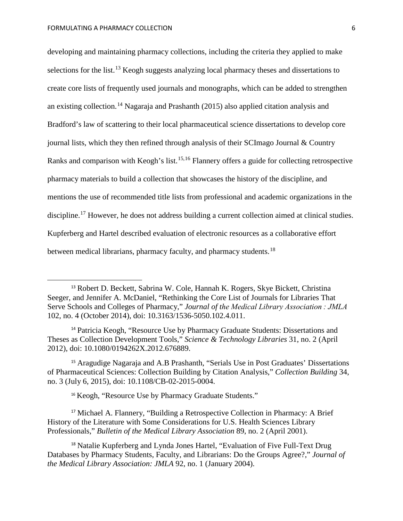developing and maintaining pharmacy collections, including the criteria they applied to make selections for the list.<sup>[13](#page-7-0)</sup> Keogh suggests analyzing local pharmacy theses and dissertations to create core lists of frequently used journals and monographs, which can be added to strengthen an existing collection.<sup>[14](#page-7-1)</sup> Nagaraja and Prashanth (2015) also applied citation analysis and Bradford's law of scattering to their local pharmaceutical science dissertations to develop core journal lists, which they then refined through analysis of their SCImago Journal & Country Ranks and comparison with Keogh's list.<sup>[15,](#page-7-2)[16](#page-7-3)</sup> Flannery offers a guide for collecting retrospective pharmacy materials to build a collection that showcases the history of the discipline, and mentions the use of recommended title lists from professional and academic organizations in the discipline.<sup>[17](#page-7-4)</sup> However, he does not address building a current collection aimed at clinical studies. Kupferberg and Hartel described evaluation of electronic resources as a collaborative effort between medical librarians, pharmacy faculty, and pharmacy students.<sup>[18](#page-7-5)</sup>

<span id="page-7-2"></span><sup>15</sup> Aragudige Nagaraja and A.B Prashanth, "Serials Use in Post Graduates' Dissertations of Pharmaceutical Sciences: Collection Building by Citation Analysis," *Collection Building* 34, no. 3 (July 6, 2015), doi: 10.1108/CB-02-2015-0004.

<sup>16</sup> Keogh, "Resource Use by Pharmacy Graduate Students."

<span id="page-7-4"></span><span id="page-7-3"></span><sup>17</sup> Michael A. Flannery, "Building a Retrospective Collection in Pharmacy: A Brief History of the Literature with Some Considerations for U.S. Health Sciences Library Professionals," *Bulletin of the Medical Library Association* 89, no. 2 (April 2001).

<span id="page-7-5"></span><sup>18</sup> Natalie Kupferberg and Lynda Jones Hartel, "Evaluation of Five Full-Text Drug Databases by Pharmacy Students, Faculty, and Librarians: Do the Groups Agree?," *Journal of the Medical Library Association: JMLA* 92, no. 1 (January 2004).

<span id="page-7-0"></span> <sup>13</sup> Robert D. Beckett, Sabrina W. Cole, Hannah K. Rogers, Skye Bickett, Christina Seeger, and Jennifer A. McDaniel, "Rethinking the Core List of Journals for Libraries That Serve Schools and Colleges of Pharmacy," *Journal of the Medical Library Association : JMLA* 102, no. 4 (October 2014), doi: 10.3163/1536-5050.102.4.011.

<span id="page-7-1"></span><sup>14</sup> Patricia Keogh, "Resource Use by Pharmacy Graduate Students: Dissertations and Theses as Collection Development Tools," *Science & Technology Libraries* 31, no. 2 (April 2012), doi: 10.1080/0194262X.2012.676889.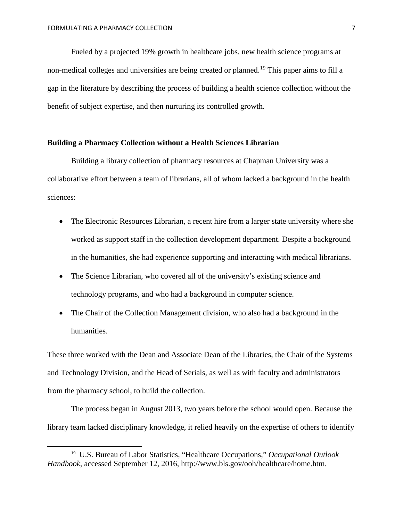Fueled by a projected 19% growth in healthcare jobs, new health science programs at non-medical colleges and universities are being created or planned.<sup>[19](#page-8-0)</sup> This paper aims to fill a gap in the literature by describing the process of building a health science collection without the benefit of subject expertise, and then nurturing its controlled growth.

#### **Building a Pharmacy Collection without a Health Sciences Librarian**

Building a library collection of pharmacy resources at Chapman University was a collaborative effort between a team of librarians, all of whom lacked a background in the health sciences:

- The Electronic Resources Librarian, a recent hire from a larger state university where she worked as support staff in the collection development department. Despite a background in the humanities, she had experience supporting and interacting with medical librarians.
- The Science Librarian, who covered all of the university's existing science and technology programs, and who had a background in computer science.
- The Chair of the Collection Management division, who also had a background in the humanities.

These three worked with the Dean and Associate Dean of the Libraries, the Chair of the Systems and Technology Division, and the Head of Serials, as well as with faculty and administrators from the pharmacy school, to build the collection.

The process began in August 2013, two years before the school would open. Because the library team lacked disciplinary knowledge, it relied heavily on the expertise of others to identify

<span id="page-8-0"></span> <sup>19</sup> U.S. Bureau of Labor Statistics, "Healthcare Occupations," *Occupational Outlook Handbook*, accessed September 12, 2016, http://www.bls.gov/ooh/healthcare/home.htm.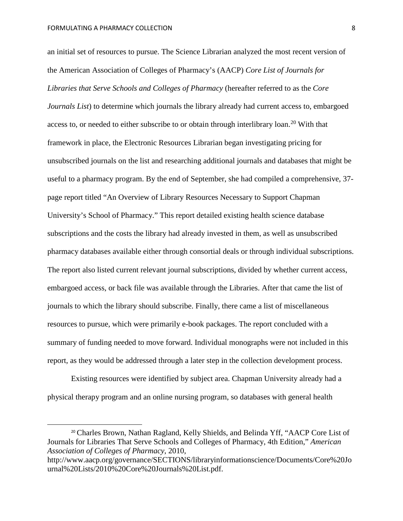an initial set of resources to pursue. The Science Librarian analyzed the most recent version of the American Association of Colleges of Pharmacy's (AACP) *Core List of Journals for Libraries that Serve Schools and Colleges of Pharmacy* (hereafter referred to as the *Core Journals List*) to determine which journals the library already had current access to, embargoed access to, or needed to either subscribe to or obtain through interlibrary loan.<sup>[20](#page-9-0)</sup> With that framework in place, the Electronic Resources Librarian began investigating pricing for unsubscribed journals on the list and researching additional journals and databases that might be useful to a pharmacy program. By the end of September, she had compiled a comprehensive, 37 page report titled "An Overview of Library Resources Necessary to Support Chapman University's School of Pharmacy." This report detailed existing health science database subscriptions and the costs the library had already invested in them, as well as unsubscribed pharmacy databases available either through consortial deals or through individual subscriptions. The report also listed current relevant journal subscriptions, divided by whether current access, embargoed access, or back file was available through the Libraries. After that came the list of journals to which the library should subscribe. Finally, there came a list of miscellaneous resources to pursue, which were primarily e-book packages. The report concluded with a summary of funding needed to move forward. Individual monographs were not included in this report, as they would be addressed through a later step in the collection development process.

Existing resources were identified by subject area. Chapman University already had a physical therapy program and an online nursing program, so databases with general health

<span id="page-9-0"></span> <sup>20</sup> Charles Brown, Nathan Ragland, Kelly Shields, and Belinda Yff, "AACP Core List of Journals for Libraries That Serve Schools and Colleges of Pharmacy, 4th Edition," *American Association of Colleges of Pharmacy*, 2010,

[http://www.aacp.org/governance/SECTIONS/libraryinformationscience/Documents/Core%20Jo](http://www.aacp.org/governance/SECTIONS/libraryinformationscience/Documents/Core%20Journal%20Lists/2010%20Core%20Journals%20List.pdf) [urnal%20Lists/2010%20Core%20Journals%20List.pdf.](http://www.aacp.org/governance/SECTIONS/libraryinformationscience/Documents/Core%20Journal%20Lists/2010%20Core%20Journals%20List.pdf)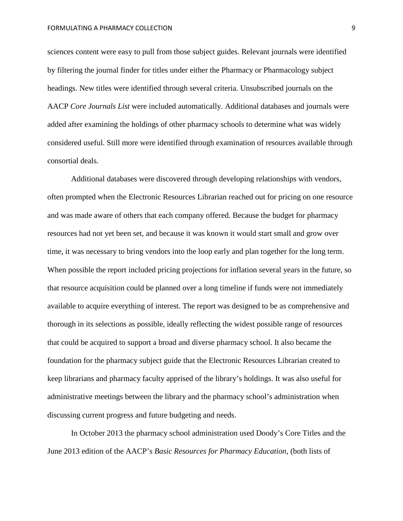sciences content were easy to pull from those subject guides. Relevant journals were identified by filtering the journal finder for titles under either the Pharmacy or Pharmacology subject headings. New titles were identified through several criteria. Unsubscribed journals on the AACP *Core Journals List* were included automatically. Additional databases and journals were added after examining the holdings of other pharmacy schools to determine what was widely considered useful. Still more were identified through examination of resources available through consortial deals.

Additional databases were discovered through developing relationships with vendors, often prompted when the Electronic Resources Librarian reached out for pricing on one resource and was made aware of others that each company offered. Because the budget for pharmacy resources had not yet been set, and because it was known it would start small and grow over time, it was necessary to bring vendors into the loop early and plan together for the long term. When possible the report included pricing projections for inflation several years in the future, so that resource acquisition could be planned over a long timeline if funds were not immediately available to acquire everything of interest. The report was designed to be as comprehensive and thorough in its selections as possible, ideally reflecting the widest possible range of resources that could be acquired to support a broad and diverse pharmacy school. It also became the foundation for the pharmacy subject guide that the Electronic Resources Librarian created to keep librarians and pharmacy faculty apprised of the library's holdings. It was also useful for administrative meetings between the library and the pharmacy school's administration when discussing current progress and future budgeting and needs.

In October 2013 the pharmacy school administration used Doody's Core Titles and the June 2013 edition of the AACP's *Basic Resources for Pharmacy Education*, (both lists of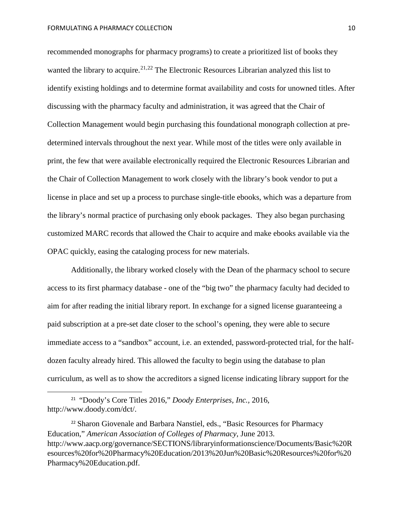recommended monographs for pharmacy programs) to create a prioritized list of books they wanted the library to acquire.<sup>[21,](#page-11-0)[22](#page-11-1)</sup> The Electronic Resources Librarian analyzed this list to identify existing holdings and to determine format availability and costs for unowned titles. After discussing with the pharmacy faculty and administration, it was agreed that the Chair of Collection Management would begin purchasing this foundational monograph collection at predetermined intervals throughout the next year. While most of the titles were only available in print, the few that were available electronically required the Electronic Resources Librarian and the Chair of Collection Management to work closely with the library's book vendor to put a license in place and set up a process to purchase single-title ebooks, which was a departure from the library's normal practice of purchasing only ebook packages. They also began purchasing customized MARC records that allowed the Chair to acquire and make ebooks available via the OPAC quickly, easing the cataloging process for new materials.

Additionally, the library worked closely with the Dean of the pharmacy school to secure access to its first pharmacy database - one of the "big two" the pharmacy faculty had decided to aim for after reading the initial library report. In exchange for a signed license guaranteeing a paid subscription at a pre-set date closer to the school's opening, they were able to secure immediate access to a "sandbox" account, i.e. an extended, password-protected trial, for the halfdozen faculty already hired. This allowed the faculty to begin using the database to plan curriculum, as well as to show the accreditors a signed license indicating library support for the

<span id="page-11-0"></span> <sup>21</sup> "Doody's Core Titles 2016," *Doody Enterprises, Inc.,* 2016, http://www.doody.com/dct/.

<span id="page-11-1"></span><sup>22</sup> Sharon Giovenale and Barbara Nanstiel, eds., "Basic Resources for Pharmacy Education," *American Association of Colleges of Pharmacy*, June 2013. [http://www.aacp.org/governance/SECTIONS/libraryinformationscience/Documents/Basic%20R](http://www.aacp.org/governance/SECTIONS/libraryinformationscience/Documents/Basic%20Resources%20for%20Pharmacy%20Education/2013%20Jun%20Basic%20Resources%20for%20Pharmacy%20Education.pdf) [esources%20for%20Pharmacy%20Education/2013%20Jun%20Basic%20Resources%20for%20](http://www.aacp.org/governance/SECTIONS/libraryinformationscience/Documents/Basic%20Resources%20for%20Pharmacy%20Education/2013%20Jun%20Basic%20Resources%20for%20Pharmacy%20Education.pdf) [Pharmacy%20Education.pdf.](http://www.aacp.org/governance/SECTIONS/libraryinformationscience/Documents/Basic%20Resources%20for%20Pharmacy%20Education/2013%20Jun%20Basic%20Resources%20for%20Pharmacy%20Education.pdf)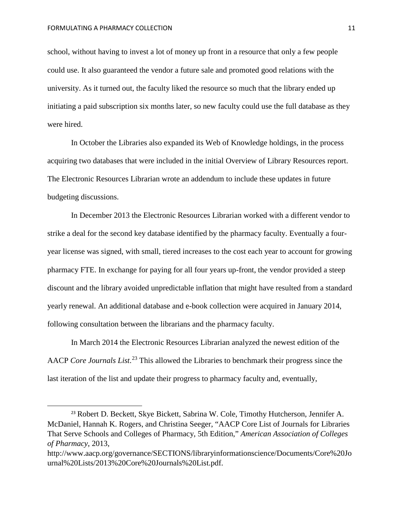school, without having to invest a lot of money up front in a resource that only a few people could use. It also guaranteed the vendor a future sale and promoted good relations with the university. As it turned out, the faculty liked the resource so much that the library ended up initiating a paid subscription six months later, so new faculty could use the full database as they were hired.

In October the Libraries also expanded its Web of Knowledge holdings, in the process acquiring two databases that were included in the initial Overview of Library Resources report. The Electronic Resources Librarian wrote an addendum to include these updates in future budgeting discussions.

In December 2013 the Electronic Resources Librarian worked with a different vendor to strike a deal for the second key database identified by the pharmacy faculty. Eventually a fouryear license was signed, with small, tiered increases to the cost each year to account for growing pharmacy FTE. In exchange for paying for all four years up-front, the vendor provided a steep discount and the library avoided unpredictable inflation that might have resulted from a standard yearly renewal. An additional database and e-book collection were acquired in January 2014, following consultation between the librarians and the pharmacy faculty.

In March 2014 the Electronic Resources Librarian analyzed the newest edition of the AACP *Core Journals List*. [23](#page-12-0) This allowed the Libraries to benchmark their progress since the last iteration of the list and update their progress to pharmacy faculty and, eventually,

<span id="page-12-0"></span> <sup>23</sup> Robert D. Beckett, Skye Bickett, Sabrina W. Cole, Timothy Hutcherson, Jennifer A. McDaniel, Hannah K. Rogers, and Christina Seeger, "AACP Core List of Journals for Libraries That Serve Schools and Colleges of Pharmacy, 5th Edition," *American Association of Colleges of Pharmacy*, 2013,

http://www.aacp.org/governance/SECTIONS/libraryinformationscience/Documents/Core%20Jo urnal%20Lists/2013%20Core%20Journals%20List.pdf.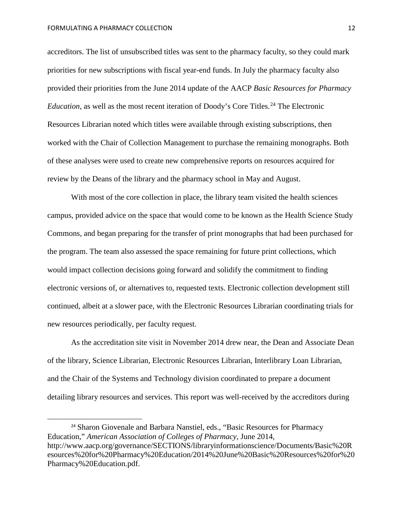#### FORMULATING A PHARMACY COLLECTION **12** 12

accreditors. The list of unsubscribed titles was sent to the pharmacy faculty, so they could mark priorities for new subscriptions with fiscal year-end funds. In July the pharmacy faculty also provided their priorities from the June 2014 update of the AACP *Basic Resources for Pharmacy Education*, as well as the most recent iteration of Doody's Core Titles. [24](#page-13-0) The Electronic Resources Librarian noted which titles were available through existing subscriptions, then worked with the Chair of Collection Management to purchase the remaining monographs. Both of these analyses were used to create new comprehensive reports on resources acquired for review by the Deans of the library and the pharmacy school in May and August.

With most of the core collection in place, the library team visited the health sciences campus, provided advice on the space that would come to be known as the Health Science Study Commons, and began preparing for the transfer of print monographs that had been purchased for the program. The team also assessed the space remaining for future print collections, which would impact collection decisions going forward and solidify the commitment to finding electronic versions of, or alternatives to, requested texts. Electronic collection development still continued, albeit at a slower pace, with the Electronic Resources Librarian coordinating trials for new resources periodically, per faculty request.

As the accreditation site visit in November 2014 drew near, the Dean and Associate Dean of the library, Science Librarian, Electronic Resources Librarian, Interlibrary Loan Librarian, and the Chair of the Systems and Technology division coordinated to prepare a document detailing library resources and services. This report was well-received by the accreditors during

<span id="page-13-0"></span><sup>&</sup>lt;sup>24</sup> Sharon Giovenale and Barbara Nanstiel, eds., "Basic Resources for Pharmacy Education," *American Association of Colleges of Pharmacy*, June 2014, http://www.aacp.org/governance/SECTIONS/libraryinformationscience/Documents/Basic%20R esources%20for%20Pharmacy%20Education/2014%20June%20Basic%20Resources%20for%20 Pharmacy%20Education.pdf.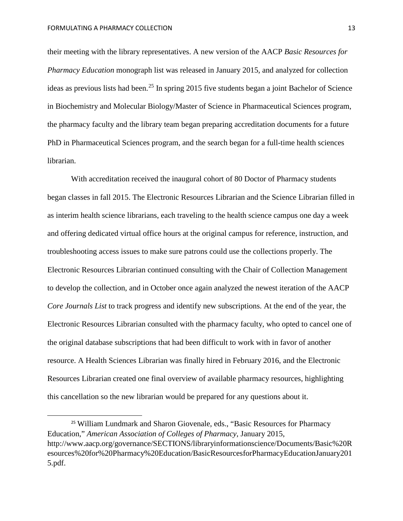their meeting with the library representatives. A new version of the AACP *Basic Resources for Pharmacy Education* monograph list was released in January 2015, and analyzed for collection ideas as previous lists had been.<sup>[25](#page-14-0)</sup> In spring 2015 five students began a joint Bachelor of Science in Biochemistry and Molecular Biology/Master of Science in Pharmaceutical Sciences program, the pharmacy faculty and the library team began preparing accreditation documents for a future PhD in Pharmaceutical Sciences program, and the search began for a full-time health sciences librarian.

With accreditation received the inaugural cohort of 80 Doctor of Pharmacy students began classes in fall 2015. The Electronic Resources Librarian and the Science Librarian filled in as interim health science librarians, each traveling to the health science campus one day a week and offering dedicated virtual office hours at the original campus for reference, instruction, and troubleshooting access issues to make sure patrons could use the collections properly. The Electronic Resources Librarian continued consulting with the Chair of Collection Management to develop the collection, and in October once again analyzed the newest iteration of the AACP *Core Journals List* to track progress and identify new subscriptions. At the end of the year, the Electronic Resources Librarian consulted with the pharmacy faculty, who opted to cancel one of the original database subscriptions that had been difficult to work with in favor of another resource. A Health Sciences Librarian was finally hired in February 2016, and the Electronic Resources Librarian created one final overview of available pharmacy resources, highlighting this cancellation so the new librarian would be prepared for any questions about it.

<span id="page-14-0"></span><sup>&</sup>lt;sup>25</sup> William Lundmark and Sharon Giovenale, eds., "Basic Resources for Pharmacy Education," *American Association of Colleges of Pharmacy*, January 2015, [http://www.aacp.org/governance/SECTIONS/libraryinformationscience/Documents/Basic%20R](http://www.aacp.org/governance/SECTIONS/libraryinformationscience/Documents/Basic%20Resources%20for%20Pharmacy%20Education/BasicResourcesforPharmacyEducationJanuary2015.pdf) [esources%20for%20Pharmacy%20Education/BasicResourcesforPharmacyEducationJanuary201](http://www.aacp.org/governance/SECTIONS/libraryinformationscience/Documents/Basic%20Resources%20for%20Pharmacy%20Education/BasicResourcesforPharmacyEducationJanuary2015.pdf) [5.pdf.](http://www.aacp.org/governance/SECTIONS/libraryinformationscience/Documents/Basic%20Resources%20for%20Pharmacy%20Education/BasicResourcesforPharmacyEducationJanuary2015.pdf)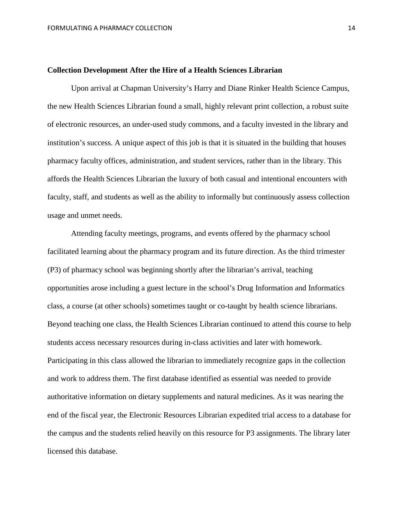#### **Collection Development After the Hire of a Health Sciences Librarian**

Upon arrival at Chapman University's Harry and Diane Rinker Health Science Campus, the new Health Sciences Librarian found a small, highly relevant print collection, a robust suite of electronic resources, an under-used study commons, and a faculty invested in the library and institution's success. A unique aspect of this job is that it is situated in the building that houses pharmacy faculty offices, administration, and student services, rather than in the library. This affords the Health Sciences Librarian the luxury of both casual and intentional encounters with faculty, staff, and students as well as the ability to informally but continuously assess collection usage and unmet needs.

Attending faculty meetings, programs, and events offered by the pharmacy school facilitated learning about the pharmacy program and its future direction. As the third trimester (P3) of pharmacy school was beginning shortly after the librarian's arrival, teaching opportunities arose including a guest lecture in the school's Drug Information and Informatics class, a course (at other schools) sometimes taught or co-taught by health science librarians. Beyond teaching one class, the Health Sciences Librarian continued to attend this course to help students access necessary resources during in-class activities and later with homework. Participating in this class allowed the librarian to immediately recognize gaps in the collection and work to address them. The first database identified as essential was needed to provide authoritative information on dietary supplements and natural medicines. As it was nearing the end of the fiscal year, the Electronic Resources Librarian expedited trial access to a database for the campus and the students relied heavily on this resource for P3 assignments. The library later licensed this database.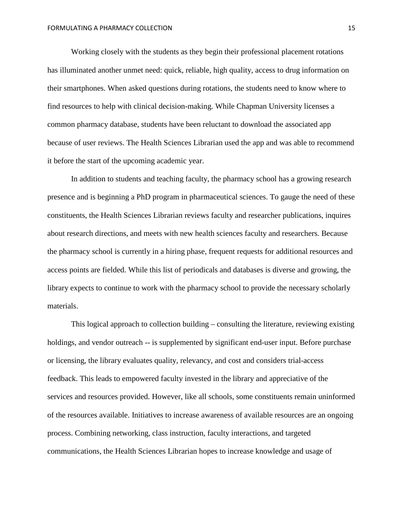Working closely with the students as they begin their professional placement rotations has illuminated another unmet need: quick, reliable, high quality, access to drug information on their smartphones. When asked questions during rotations, the students need to know where to find resources to help with clinical decision-making. While Chapman University licenses a common pharmacy database, students have been reluctant to download the associated app because of user reviews. The Health Sciences Librarian used the app and was able to recommend it before the start of the upcoming academic year.

In addition to students and teaching faculty, the pharmacy school has a growing research presence and is beginning a PhD program in pharmaceutical sciences. To gauge the need of these constituents, the Health Sciences Librarian reviews faculty and researcher publications, inquires about research directions, and meets with new health sciences faculty and researchers. Because the pharmacy school is currently in a hiring phase, frequent requests for additional resources and access points are fielded. While this list of periodicals and databases is diverse and growing, the library expects to continue to work with the pharmacy school to provide the necessary scholarly materials.

This logical approach to collection building – consulting the literature, reviewing existing holdings, and vendor outreach -- is supplemented by significant end-user input. Before purchase or licensing, the library evaluates quality, relevancy, and cost and considers trial-access feedback. This leads to empowered faculty invested in the library and appreciative of the services and resources provided. However, like all schools, some constituents remain uninformed of the resources available. Initiatives to increase awareness of available resources are an ongoing process. Combining networking, class instruction, faculty interactions, and targeted communications, the Health Sciences Librarian hopes to increase knowledge and usage of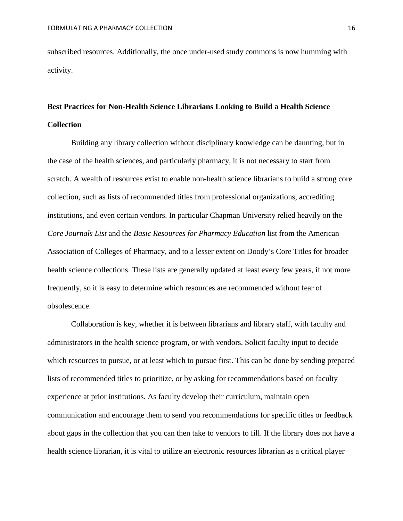subscribed resources. Additionally, the once under-used study commons is now humming with activity.

### **Best Practices for Non-Health Science Librarians Looking to Build a Health Science Collection**

Building any library collection without disciplinary knowledge can be daunting, but in the case of the health sciences, and particularly pharmacy, it is not necessary to start from scratch. A wealth of resources exist to enable non-health science librarians to build a strong core collection, such as lists of recommended titles from professional organizations, accrediting institutions, and even certain vendors. In particular Chapman University relied heavily on the *Core Journals List* and the *Basic Resources for Pharmacy Education* list from the American Association of Colleges of Pharmacy, and to a lesser extent on Doody's Core Titles for broader health science collections. These lists are generally updated at least every few years, if not more frequently, so it is easy to determine which resources are recommended without fear of obsolescence.

Collaboration is key, whether it is between librarians and library staff, with faculty and administrators in the health science program, or with vendors. Solicit faculty input to decide which resources to pursue, or at least which to pursue first. This can be done by sending prepared lists of recommended titles to prioritize, or by asking for recommendations based on faculty experience at prior institutions. As faculty develop their curriculum, maintain open communication and encourage them to send you recommendations for specific titles or feedback about gaps in the collection that you can then take to vendors to fill. If the library does not have a health science librarian, it is vital to utilize an electronic resources librarian as a critical player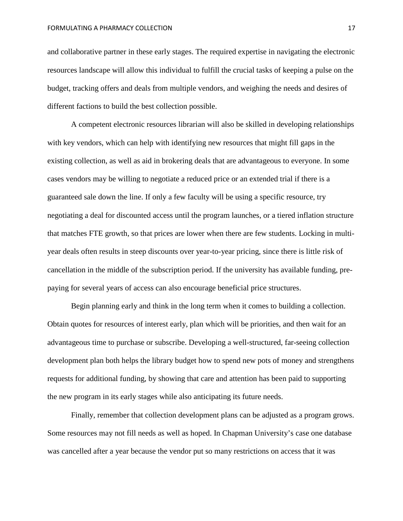and collaborative partner in these early stages. The required expertise in navigating the electronic resources landscape will allow this individual to fulfill the crucial tasks of keeping a pulse on the budget, tracking offers and deals from multiple vendors, and weighing the needs and desires of different factions to build the best collection possible.

A competent electronic resources librarian will also be skilled in developing relationships with key vendors, which can help with identifying new resources that might fill gaps in the existing collection, as well as aid in brokering deals that are advantageous to everyone. In some cases vendors may be willing to negotiate a reduced price or an extended trial if there is a guaranteed sale down the line. If only a few faculty will be using a specific resource, try negotiating a deal for discounted access until the program launches, or a tiered inflation structure that matches FTE growth, so that prices are lower when there are few students. Locking in multiyear deals often results in steep discounts over year-to-year pricing, since there is little risk of cancellation in the middle of the subscription period. If the university has available funding, prepaying for several years of access can also encourage beneficial price structures.

Begin planning early and think in the long term when it comes to building a collection. Obtain quotes for resources of interest early, plan which will be priorities, and then wait for an advantageous time to purchase or subscribe. Developing a well-structured, far-seeing collection development plan both helps the library budget how to spend new pots of money and strengthens requests for additional funding, by showing that care and attention has been paid to supporting the new program in its early stages while also anticipating its future needs.

Finally, remember that collection development plans can be adjusted as a program grows. Some resources may not fill needs as well as hoped. In Chapman University's case one database was cancelled after a year because the vendor put so many restrictions on access that it was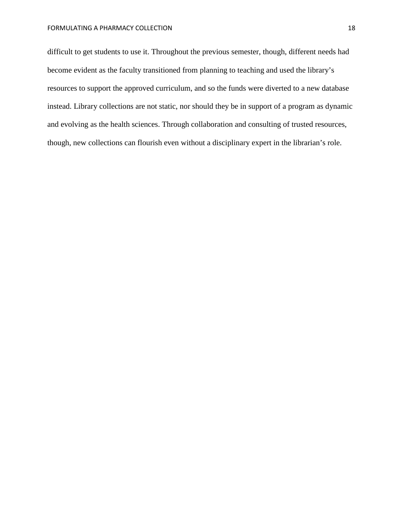difficult to get students to use it. Throughout the previous semester, though, different needs had become evident as the faculty transitioned from planning to teaching and used the library's resources to support the approved curriculum, and so the funds were diverted to a new database instead. Library collections are not static, nor should they be in support of a program as dynamic and evolving as the health sciences. Through collaboration and consulting of trusted resources, though, new collections can flourish even without a disciplinary expert in the librarian's role.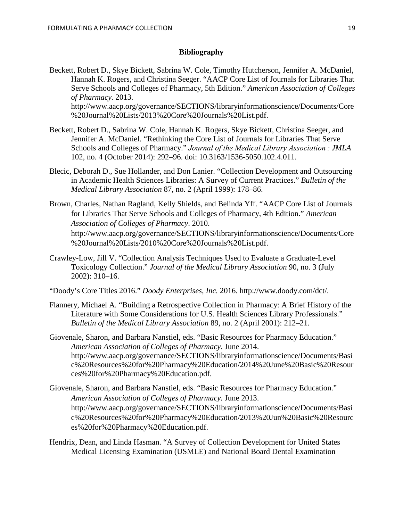#### **Bibliography**

- Beckett, Robert D., Skye Bickett, Sabrina W. Cole, Timothy Hutcherson, Jennifer A. McDaniel, Hannah K. Rogers, and Christina Seeger. "AACP Core List of Journals for Libraries That Serve Schools and Colleges of Pharmacy, 5th Edition." *American Association of Colleges of Pharmacy.* 2013. http://www.aacp.org/governance/SECTIONS/libraryinformationscience/Documents/Core %20Journal%20Lists/2013%20Core%20Journals%20List.pdf.
- Beckett, Robert D., Sabrina W. Cole, Hannah K. Rogers, Skye Bickett, Christina Seeger, and Jennifer A. McDaniel. "Rethinking the Core List of Journals for Libraries That Serve Schools and Colleges of Pharmacy." *Journal of the Medical Library Association : JMLA* 102, no. 4 (October 2014): 292–96. doi: 10.3163/1536-5050.102.4.011.
- Blecic, Deborah D., Sue Hollander, and Don Lanier. "Collection Development and Outsourcing in Academic Health Sciences Libraries: A Survey of Current Practices." *Bulletin of the Medical Library Association* 87, no. 2 (April 1999): 178–86.
- Brown, Charles, Nathan Ragland, Kelly Shields, and Belinda Yff. "AACP Core List of Journals for Libraries That Serve Schools and Colleges of Pharmacy, 4th Edition." *American Association of Colleges of Pharmacy*. 2010. [http://www.aacp.org/governance/SECTIONS/libraryinformationscience/Documents/Core](http://www.aacp.org/governance/SECTIONS/libraryinformationscience/Documents/Core%20Journal%20Lists/2010%20Core%20Journals%20List.pdf) [%20Journal%20Lists/2010%20Core%20Journals%20List.pdf.](http://www.aacp.org/governance/SECTIONS/libraryinformationscience/Documents/Core%20Journal%20Lists/2010%20Core%20Journals%20List.pdf)
- Crawley-Low, Jill V. "Collection Analysis Techniques Used to Evaluate a Graduate-Level Toxicology Collection." *Journal of the Medical Library Association* 90, no. 3 (July 2002): 310–16.
- "Doody's Core Titles 2016." *Doody Enterprises, Inc.* 2016. http://www.doody.com/dct/.
- Flannery, Michael A. "Building a Retrospective Collection in Pharmacy: A Brief History of the Literature with Some Considerations for U.S. Health Sciences Library Professionals." *Bulletin of the Medical Library Association* 89, no. 2 (April 2001): 212–21.
- Giovenale, Sharon, and Barbara Nanstiel, eds. "Basic Resources for Pharmacy Education." *American Association of Colleges of Pharmacy*. June 2014. http://www.aacp.org/governance/SECTIONS/libraryinformationscience/Documents/Basi c%20Resources%20for%20Pharmacy%20Education/2014%20June%20Basic%20Resour ces%20for%20Pharmacy%20Education.pdf.
- Giovenale, Sharon, and Barbara Nanstiel, eds. "Basic Resources for Pharmacy Education." *American Association of Colleges of Pharmacy.* June 2013. [http://www.aacp.org/governance/SECTIONS/libraryinformationscience/Documents/Basi](http://www.aacp.org/governance/SECTIONS/libraryinformationscience/Documents/Basic%20Resources%20for%20Pharmacy%20Education/2013%20Jun%20Basic%20Resources%20for%20Pharmacy%20Education.pdf) [c%20Resources%20for%20Pharmacy%20Education/2013%20Jun%20Basic%20Resourc](http://www.aacp.org/governance/SECTIONS/libraryinformationscience/Documents/Basic%20Resources%20for%20Pharmacy%20Education/2013%20Jun%20Basic%20Resources%20for%20Pharmacy%20Education.pdf) [es%20for%20Pharmacy%20Education.pdf.](http://www.aacp.org/governance/SECTIONS/libraryinformationscience/Documents/Basic%20Resources%20for%20Pharmacy%20Education/2013%20Jun%20Basic%20Resources%20for%20Pharmacy%20Education.pdf)
- Hendrix, Dean, and Linda Hasman. "A Survey of Collection Development for United States Medical Licensing Examination (USMLE) and National Board Dental Examination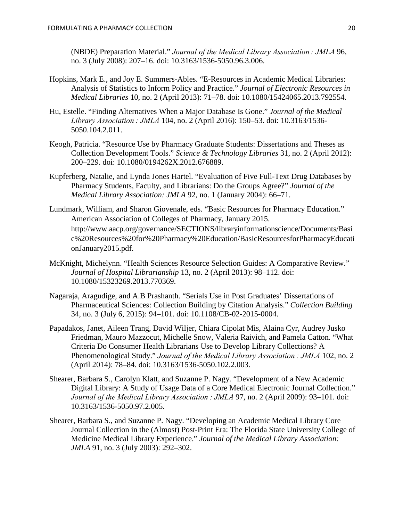(NBDE) Preparation Material." *Journal of the Medical Library Association : JMLA* 96, no. 3 (July 2008): 207–16. doi: 10.3163/1536-5050.96.3.006.

- Hopkins, Mark E., and Joy E. Summers-Ables. "E-Resources in Academic Medical Libraries: Analysis of Statistics to Inform Policy and Practice." *Journal of Electronic Resources in Medical Libraries* 10, no. 2 (April 2013): 71–78. doi: 10.1080/15424065.2013.792554.
- Hu, Estelle. "Finding Alternatives When a Major Database Is Gone." *Journal of the Medical Library Association : JMLA* 104, no. 2 (April 2016): 150–53. doi: 10.3163/1536- 5050.104.2.011.
- Keogh, Patricia. "Resource Use by Pharmacy Graduate Students: Dissertations and Theses as Collection Development Tools." *Science & Technology Libraries* 31, no. 2 (April 2012): 200–229. doi: 10.1080/0194262X.2012.676889.
- Kupferberg, Natalie, and Lynda Jones Hartel. "Evaluation of Five Full-Text Drug Databases by Pharmacy Students, Faculty, and Librarians: Do the Groups Agree?" *Journal of the Medical Library Association: JMLA* 92, no. 1 (January 2004): 66–71.
- Lundmark, William, and Sharon Giovenale, eds. "Basic Resources for Pharmacy Education." American Association of Colleges of Pharmacy, January 2015. [http://www.aacp.org/governance/SECTIONS/libraryinformationscience/Documents/Basi](http://www.aacp.org/governance/SECTIONS/libraryinformationscience/Documents/Basic%20Resources%20for%20Pharmacy%20Education/BasicResourcesforPharmacyEducationJanuary2015.pdf) [c%20Resources%20for%20Pharmacy%20Education/BasicResourcesforPharmacyEducati](http://www.aacp.org/governance/SECTIONS/libraryinformationscience/Documents/Basic%20Resources%20for%20Pharmacy%20Education/BasicResourcesforPharmacyEducationJanuary2015.pdf) [onJanuary2015.pdf.](http://www.aacp.org/governance/SECTIONS/libraryinformationscience/Documents/Basic%20Resources%20for%20Pharmacy%20Education/BasicResourcesforPharmacyEducationJanuary2015.pdf)
- McKnight, Michelynn. "Health Sciences Resource Selection Guides: A Comparative Review." *Journal of Hospital Librarianship* 13, no. 2 (April 2013): 98–112. doi: 10.1080/15323269.2013.770369.
- Nagaraja, Aragudige, and A.B Prashanth. "Serials Use in Post Graduates' Dissertations of Pharmaceutical Sciences: Collection Building by Citation Analysis." *Collection Building* 34, no. 3 (July 6, 2015): 94–101. doi: 10.1108/CB-02-2015-0004.
- Papadakos, Janet, Aileen Trang, David Wiljer, Chiara Cipolat Mis, Alaina Cyr, Audrey Jusko Friedman, Mauro Mazzocut, Michelle Snow, Valeria Raivich, and Pamela Catton. "What Criteria Do Consumer Health Librarians Use to Develop Library Collections? A Phenomenological Study." *Journal of the Medical Library Association : JMLA* 102, no. 2 (April 2014): 78–84. doi: 10.3163/1536-5050.102.2.003.
- Shearer, Barbara S., Carolyn Klatt, and Suzanne P. Nagy. "Development of a New Academic Digital Library: A Study of Usage Data of a Core Medical Electronic Journal Collection." *Journal of the Medical Library Association : JMLA* 97, no. 2 (April 2009): 93–101. doi: 10.3163/1536-5050.97.2.005.
- Shearer, Barbara S., and Suzanne P. Nagy. "Developing an Academic Medical Library Core Journal Collection in the (Almost) Post-Print Era: The Florida State University College of Medicine Medical Library Experience." *Journal of the Medical Library Association: JMLA* 91, no. 3 (July 2003): 292–302.